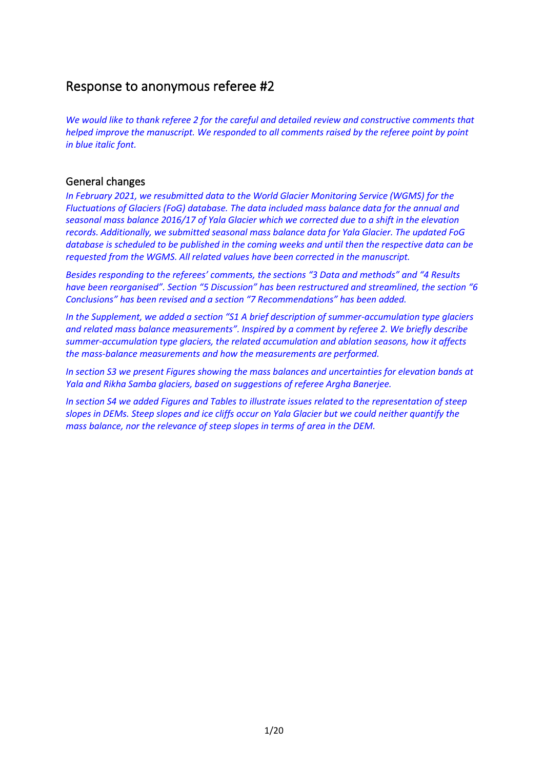## Response to anonymous referee #2

*We would like to thank referee 2 for the careful and detailed review and constructive comments that helped improve the manuscript. We responded to all comments raised by the referee point by point in blue italic font.*

### General changes

*In February 2021, we resubmitted data to the World Glacier Monitoring Service (WGMS) for the Fluctuations of Glaciers (FoG) database. The data included mass balance data for the annual and seasonal mass balance 2016/17 of Yala Glacier which we corrected due to a shift in the elevation records. Additionally, we submitted seasonal mass balance data for Yala Glacier. The updated FoG database is scheduled to be published in the coming weeks and until then the respective data can be requested from the WGMS. All related values have been corrected in the manuscript.*

*Besides responding to the referees' comments, the sections "3 Data and methods" and "4 Results have been reorganised". Section "5 Discussion" has been restructured and streamlined, the section "6 Conclusions" has been revised and a section "7 Recommendations" has been added.* 

*In the Supplement, we added a section "S1 A brief description of summer-accumulation type glaciers and related mass balance measurements". Inspired by a comment by referee 2. We briefly describe summer-accumulation type glaciers, the related accumulation and ablation seasons, how it affects the mass-balance measurements and how the measurements are performed.*

*In section S3 we present Figures showing the mass balances and uncertainties for elevation bands at Yala and Rikha Samba glaciers, based on suggestions of referee Argha Banerjee.*

*In section S4 we added Figures and Tables to illustrate issues related to the representation of steep slopes in DEMs. Steep slopes and ice cliffs occur on Yala Glacier but we could neither quantify the mass balance, nor the relevance of steep slopes in terms of area in the DEM.*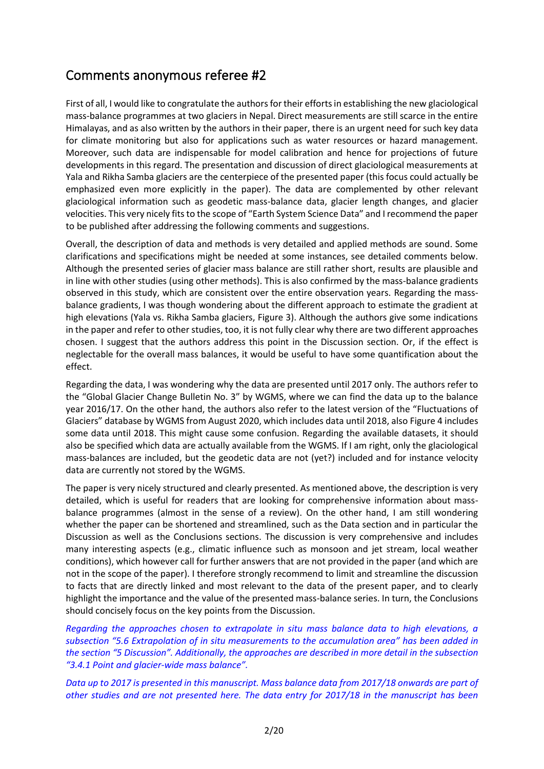# Comments anonymous referee #2

First of all, I would like to congratulate the authors for their efforts in establishing the new glaciological mass-balance programmes at two glaciers in Nepal. Direct measurements are still scarce in the entire Himalayas, and as also written by the authors in their paper, there is an urgent need for such key data for climate monitoring but also for applications such as water resources or hazard management. Moreover, such data are indispensable for model calibration and hence for projections of future developments in this regard. The presentation and discussion of direct glaciological measurements at Yala and Rikha Samba glaciers are the centerpiece of the presented paper (this focus could actually be emphasized even more explicitly in the paper). The data are complemented by other relevant glaciological information such as geodetic mass-balance data, glacier length changes, and glacier velocities. This very nicely fits to the scope of "Earth System Science Data" and I recommend the paper to be published after addressing the following comments and suggestions.

Overall, the description of data and methods is very detailed and applied methods are sound. Some clarifications and specifications might be needed at some instances, see detailed comments below. Although the presented series of glacier mass balance are still rather short, results are plausible and in line with other studies (using other methods). This is also confirmed by the mass-balance gradients observed in this study, which are consistent over the entire observation years. Regarding the massbalance gradients, I was though wondering about the different approach to estimate the gradient at high elevations (Yala vs. Rikha Samba glaciers, Figure 3). Although the authors give some indications in the paper and refer to other studies, too, it is not fully clear why there are two different approaches chosen. I suggest that the authors address this point in the Discussion section. Or, if the effect is neglectable for the overall mass balances, it would be useful to have some quantification about the effect.

Regarding the data, I was wondering why the data are presented until 2017 only. The authors refer to the "Global Glacier Change Bulletin No. 3" by WGMS, where we can find the data up to the balance year 2016/17. On the other hand, the authors also refer to the latest version of the "Fluctuations of Glaciers" database by WGMS from August 2020, which includes data until 2018, also Figure 4 includes some data until 2018. This might cause some confusion. Regarding the available datasets, it should also be specified which data are actually available from the WGMS. If I am right, only the glaciological mass-balances are included, but the geodetic data are not (yet?) included and for instance velocity data are currently not stored by the WGMS.

The paper is very nicely structured and clearly presented. As mentioned above, the description is very detailed, which is useful for readers that are looking for comprehensive information about massbalance programmes (almost in the sense of a review). On the other hand, I am still wondering whether the paper can be shortened and streamlined, such as the Data section and in particular the Discussion as well as the Conclusions sections. The discussion is very comprehensive and includes many interesting aspects (e.g., climatic influence such as monsoon and jet stream, local weather conditions), which however call for further answers that are not provided in the paper (and which are not in the scope of the paper). I therefore strongly recommend to limit and streamline the discussion to facts that are directly linked and most relevant to the data of the present paper, and to clearly highlight the importance and the value of the presented mass-balance series. In turn, the Conclusions should concisely focus on the key points from the Discussion.

*Regarding the approaches chosen to extrapolate in situ mass balance data to high elevations, a subsection "5.6 Extrapolation of in situ measurements to the accumulation area" has been added in the section "5 Discussion". Additionally, the approaches are described in more detail in the subsection "3.4.1 Point and glacier-wide mass balance".*

*Data up to 2017 is presented in this manuscript. Mass balance data from 2017/18 onwards are part of other studies and are not presented here. The data entry for 2017/18 in the manuscript has been*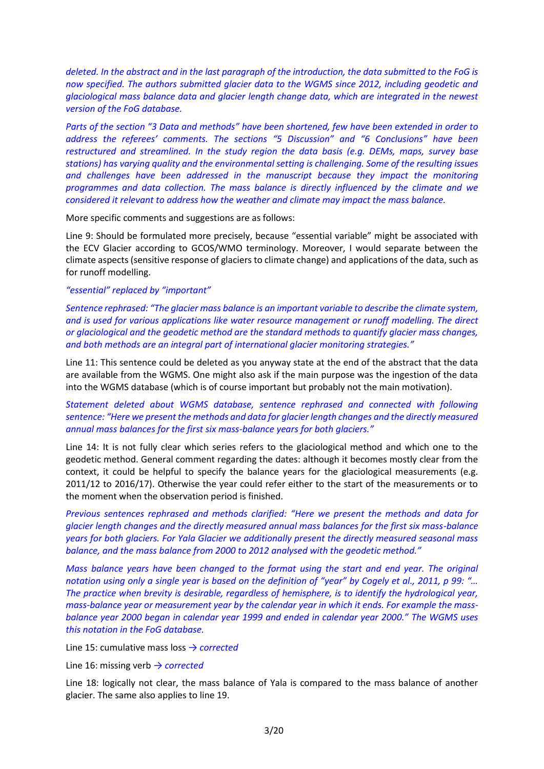*deleted. In the abstract and in the last paragraph of the introduction, the data submitted to the FoG is now specified. The authors submitted glacier data to the WGMS since 2012, including geodetic and glaciological mass balance data and glacier length change data, which are integrated in the newest version of the FoG database.*

*Parts of the section "3 Data and methods" have been shortened, few have been extended in order to address the referees' comments. The sections "5 Discussion" and "6 Conclusions" have been restructured and streamlined. In the study region the data basis (e.g. DEMs, maps, survey base stations) has varying quality and the environmental setting is challenging. Some of the resulting issues and challenges have been addressed in the manuscript because they impact the monitoring programmes and data collection. The mass balance is directly influenced by the climate and we considered it relevant to address how the weather and climate may impact the mass balance.* 

More specific comments and suggestions are as follows:

Line 9: Should be formulated more precisely, because "essential variable" might be associated with the ECV Glacier according to GCOS/WMO terminology. Moreover, I would separate between the climate aspects (sensitive response of glaciers to climate change) and applications of the data, such as for runoff modelling.

#### *"essential" replaced by "important"*

*Sentence rephrased: "The glacier mass balance is an important variable to describe the climate system, and is used for various applications like water resource management or runoff modelling. The direct or glaciological and the geodetic method are the standard methods to quantify glacier mass changes, and both methods are an integral part of international glacier monitoring strategies."*

Line 11: This sentence could be deleted as you anyway state at the end of the abstract that the data are available from the WGMS. One might also ask if the main purpose was the ingestion of the data into the WGMS database (which is of course important but probably not the main motivation).

*Statement deleted about WGMS database, sentence rephrased and connected with following sentence: "Here we present the methods and data for glacier length changes and the directly measured annual mass balances for the first six mass-balance years for both glaciers."*

Line 14: It is not fully clear which series refers to the glaciological method and which one to the geodetic method. General comment regarding the dates: although it becomes mostly clear from the context, it could be helpful to specify the balance years for the glaciological measurements (e.g. 2011/12 to 2016/17). Otherwise the year could refer either to the start of the measurements or to the moment when the observation period is finished.

*Previous sentences rephrased and methods clarified: "Here we present the methods and data for glacier length changes and the directly measured annual mass balances for the first six mass-balance years for both glaciers. For Yala Glacier we additionally present the directly measured seasonal mass balance, and the mass balance from 2000 to 2012 analysed with the geodetic method."*

*Mass balance years have been changed to the format using the start and end year. The original notation using only a single year is based on the definition of "year" by Cogely et al., 2011, p 99: "… The practice when brevity is desirable, regardless of hemisphere, is to identify the hydrological year, mass-balance year or measurement year by the calendar year in which it ends. For example the massbalance year 2000 began in calendar year 1999 and ended in calendar year 2000." The WGMS uses this notation in the FoG database.*

Line 15: cumulative mass loss *→ corrected*

Line 16: missing verb *→ corrected*

Line 18: logically not clear, the mass balance of Yala is compared to the mass balance of another glacier. The same also applies to line 19.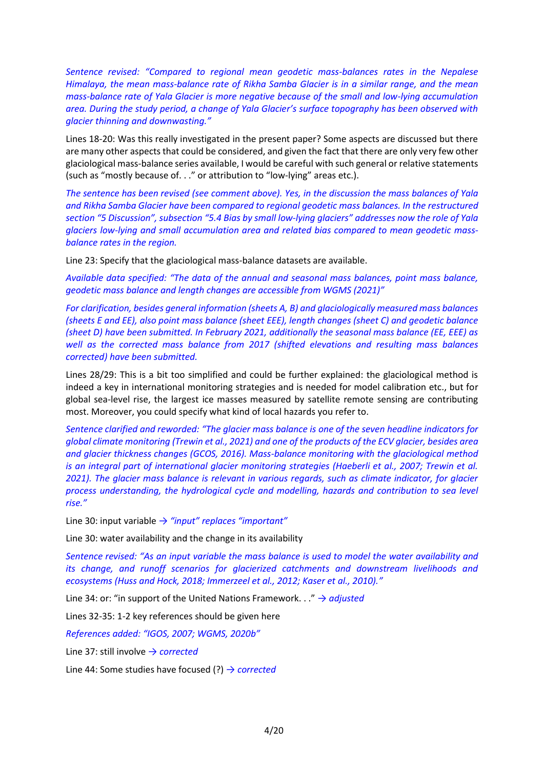*Sentence revised: "Compared to regional mean geodetic mass-balances rates in the Nepalese Himalaya, the mean mass-balance rate of Rikha Samba Glacier is in a similar range, and the mean mass-balance rate of Yala Glacier is more negative because of the small and low-lying accumulation area. During the study period, a change of Yala Glacier's surface topography has been observed with glacier thinning and downwasting."*

Lines 18-20: Was this really investigated in the present paper? Some aspects are discussed but there are many other aspects that could be considered, and given the fact that there are only very few other glaciological mass-balance series available, I would be careful with such general or relative statements (such as "mostly because of. . ." or attribution to "low-lying" areas etc.).

*The sentence has been revised (see comment above). Yes, in the discussion the mass balances of Yala and Rikha Samba Glacier have been compared to regional geodetic mass balances. In the restructured section "5 Discussion", subsection "5.4 Bias by small low-lying glaciers" addresses now the role of Yala glaciers low-lying and small accumulation area and related bias compared to mean geodetic massbalance rates in the region.*

Line 23: Specify that the glaciological mass-balance datasets are available.

*Available data specified: "The data of the annual and seasonal mass balances, point mass balance, geodetic mass balance and length changes are accessible from WGMS (2021)"*

*For clarification, besides general information (sheets A, B) and glaciologically measured mass balances (sheets E and EE), also point mass balance (sheet EEE), length changes (sheet C) and geodetic balance (sheet D) have been submitted. In February 2021, additionally the seasonal mass balance (EE, EEE) as well as the corrected mass balance from 2017 (shifted elevations and resulting mass balances corrected) have been submitted.*

Lines 28/29: This is a bit too simplified and could be further explained: the glaciological method is indeed a key in international monitoring strategies and is needed for model calibration etc., but for global sea-level rise, the largest ice masses measured by satellite remote sensing are contributing most. Moreover, you could specify what kind of local hazards you refer to.

*Sentence clarified and reworded: "The glacier mass balance is one of the seven headline indicators for global climate monitoring (Trewin et al., 2021) and one of the products of the ECV glacier, besides area and glacier thickness changes (GCOS, 2016). Mass-balance monitoring with the glaciological method is an integral part of international glacier monitoring strategies (Haeberli et al., 2007; Trewin et al. 2021). The glacier mass balance is relevant in various regards, such as climate indicator, for glacier process understanding, the hydrological cycle and modelling, hazards and contribution to sea level rise."*

Line 30: input variable *→ "input" replaces "important"*

Line 30: water availability and the change in its availability

*Sentence revised: "As an input variable the mass balance is used to model the water availability and its change, and runoff scenarios for glacierized catchments and downstream livelihoods and ecosystems (Huss and Hock, 2018; Immerzeel et al., 2012; Kaser et al., 2010)."*

Line 34: or: "in support of the United Nations Framework. . ." *→ adjusted*

Lines 32-35: 1-2 key references should be given here

*References added: "IGOS, 2007; WGMS, 2020b"*

Line 37: still involve *→ corrected*

Line 44: Some studies have focused (?) *→ corrected*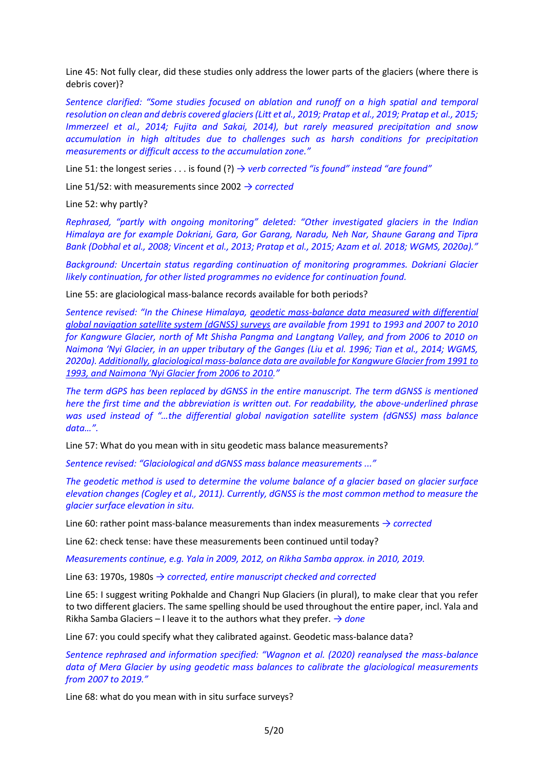Line 45: Not fully clear, did these studies only address the lower parts of the glaciers (where there is debris cover)?

*Sentence clarified: "Some studies focused on ablation and runoff on a high spatial and temporal resolution on clean and debris covered glaciers (Litt et al., 2019; Pratap et al., 2019; Pratap et al., 2015; Immerzeel et al., 2014; Fujita and Sakai, 2014), but rarely measured precipitation and snow accumulation in high altitudes due to challenges such as harsh conditions for precipitation measurements or difficult access to the accumulation zone."*

Line 51: the longest series . . . is found (?) *→ verb corrected "is found" instead "are found"*

Line 51/52: with measurements since 2002 *→ corrected*

Line 52: why partly?

*Rephrased, "partly with ongoing monitoring" deleted: "Other investigated glaciers in the Indian Himalaya are for example Dokriani, Gara, Gor Garang, Naradu, Neh Nar, Shaune Garang and Tipra Bank (Dobhal et al., 2008; Vincent et al., 2013; Pratap et al., 2015; Azam et al. 2018; WGMS, 2020a)."*

*Background: Uncertain status regarding continuation of monitoring programmes. Dokriani Glacier likely continuation, for other listed programmes no evidence for continuation found.*

Line 55: are glaciological mass-balance records available for both periods?

*Sentence revised: "In the Chinese Himalaya, geodetic mass-balance data measured with differential global navigation satellite system (dGNSS) surveys are available from 1991 to 1993 and 2007 to 2010 for Kangwure Glacier, north of Mt Shisha Pangma and Langtang Valley, and from 2006 to 2010 on Naimona 'Nyi Glacier, in an upper tributary of the Ganges (Liu et al. 1996; Tian et al., 2014; WGMS, 2020a). Additionally, glaciological mass-balance data are available for Kangwure Glacier from 1991 to 1993, and Naimona 'Nyi Glacier from 2006 to 2010."*

*The term dGPS has been replaced by dGNSS in the entire manuscript. The term dGNSS is mentioned here the first time and the abbreviation is written out. For readability, the above-underlined phrase was used instead of "…the differential global navigation satellite system (dGNSS) mass balance data…".*

Line 57: What do you mean with in situ geodetic mass balance measurements?

*Sentence revised: "Glaciological and dGNSS mass balance measurements ..."*

*The geodetic method is used to determine the volume balance of a glacier based on glacier surface elevation changes (Cogley et al., 2011). Currently, dGNSS is the most common method to measure the glacier surface elevation in situ.* 

Line 60: rather point mass-balance measurements than index measurements *→ corrected*

Line 62: check tense: have these measurements been continued until today?

*Measurements continue, e.g. Yala in 2009, 2012, on Rikha Samba approx. in 2010, 2019.*

Line 63: 1970s, 1980s *→ corrected, entire manuscript checked and corrected*

Line 65: I suggest writing Pokhalde and Changri Nup Glaciers (in plural), to make clear that you refer to two different glaciers. The same spelling should be used throughout the entire paper, incl. Yala and Rikha Samba Glaciers – I leave it to the authors what they prefer. *→ done*

Line 67: you could specify what they calibrated against. Geodetic mass-balance data?

*Sentence rephrased and information specified: "Wagnon et al. (2020) reanalysed the mass-balance data of Mera Glacier by using geodetic mass balances to calibrate the glaciological measurements from 2007 to 2019."*

Line 68: what do you mean with in situ surface surveys?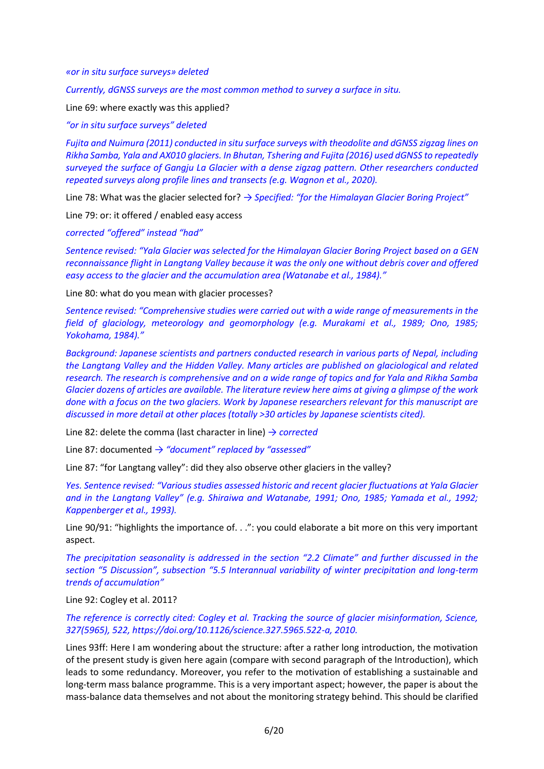*«or in situ surface surveys» deleted*

*Currently, dGNSS surveys are the most common method to survey a surface in situ.*

Line 69: where exactly was this applied?

*"or in situ surface surveys" deleted*

*Fujita and Nuimura (2011) conducted in situ surface surveys with theodolite and dGNSS zigzag lines on Rikha Samba, Yala and AX010 glaciers. In Bhutan, Tshering and Fujita (2016) used dGNSS to repeatedly surveyed the surface of Gangju La Glacier with a dense zigzag pattern. Other researchers conducted repeated surveys along profile lines and transects (e.g. Wagnon et al., 2020).*

Line 78: What was the glacier selected for? *→ Specified: "for the Himalayan Glacier Boring Project"*

Line 79: or: it offered / enabled easy access

*corrected "offered" instead "had"*

*Sentence revised: "Yala Glacier was selected for the Himalayan Glacier Boring Project based on a GEN reconnaissance flight in Langtang Valley because it was the only one without debris cover and offered easy access to the glacier and the accumulation area (Watanabe et al., 1984)."*

Line 80: what do you mean with glacier processes?

*Sentence revised: "Comprehensive studies were carried out with a wide range of measurements in the field of glaciology, meteorology and geomorphology (e.g. Murakami et al., 1989; Ono, 1985; Yokohama, 1984)."*

*Background: Japanese scientists and partners conducted research in various parts of Nepal, including the Langtang Valley and the Hidden Valley. Many articles are published on glaciological and related research. The research is comprehensive and on a wide range of topics and for Yala and Rikha Samba Glacier dozens of articles are available. The literature review here aims at giving a glimpse of the work done with a focus on the two glaciers. Work by Japanese researchers relevant for this manuscript are discussed in more detail at other places (totally >30 articles by Japanese scientists cited).* 

Line 82: delete the comma (last character in line) *→ corrected*

Line 87: documented *→ "document" replaced by "assessed"*

Line 87: "for Langtang valley": did they also observe other glaciers in the valley?

*Yes. Sentence revised: "Various studies assessed historic and recent glacier fluctuations at Yala Glacier and in the Langtang Valley" (e.g. Shiraiwa and Watanabe, 1991; Ono, 1985; Yamada et al., 1992; Kappenberger et al., 1993).*

Line 90/91: "highlights the importance of. . .": you could elaborate a bit more on this very important aspect.

*The precipitation seasonality is addressed in the section "2.2 Climate" and further discussed in the section "5 Discussion", subsection "5.5 Interannual variability of winter precipitation and long-term trends of accumulation"*

Line 92: Cogley et al. 2011?

*The reference is correctly cited: Cogley et al. Tracking the source of glacier misinformation, Science, 327(5965), 522, https://doi.org/10.1126/science.327.5965.522-a, 2010.*

Lines 93ff: Here I am wondering about the structure: after a rather long introduction, the motivation of the present study is given here again (compare with second paragraph of the Introduction), which leads to some redundancy. Moreover, you refer to the motivation of establishing a sustainable and long-term mass balance programme. This is a very important aspect; however, the paper is about the mass-balance data themselves and not about the monitoring strategy behind. This should be clarified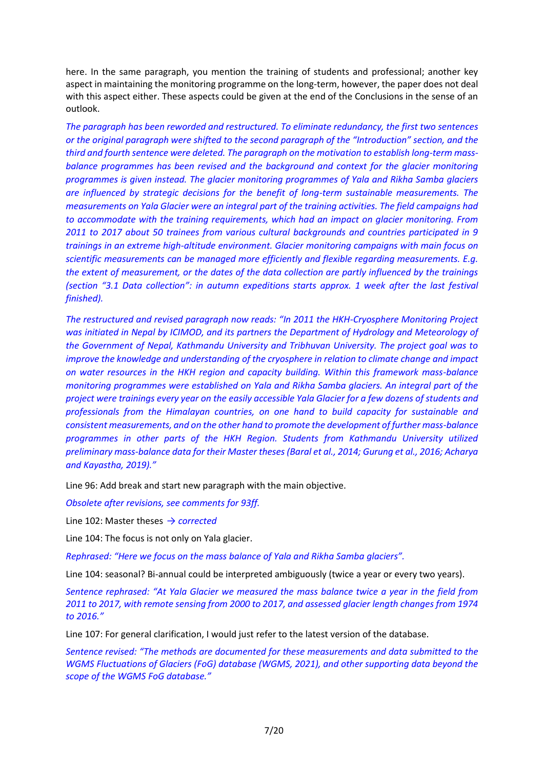here. In the same paragraph, you mention the training of students and professional; another key aspect in maintaining the monitoring programme on the long-term, however, the paper does not deal with this aspect either. These aspects could be given at the end of the Conclusions in the sense of an outlook.

*The paragraph has been reworded and restructured. To eliminate redundancy, the first two sentences or the original paragraph were shifted to the second paragraph of the "Introduction" section, and the third and fourth sentence were deleted. The paragraph on the motivation to establish long-term massbalance programmes has been revised and the background and context for the glacier monitoring programmes is given instead. The glacier monitoring programmes of Yala and Rikha Samba glaciers are influenced by strategic decisions for the benefit of long-term sustainable measurements. The measurements on Yala Glacier were an integral part of the training activities. The field campaigns had to accommodate with the training requirements, which had an impact on glacier monitoring. From 2011 to 2017 about 50 trainees from various cultural backgrounds and countries participated in 9 trainings in an extreme high-altitude environment. Glacier monitoring campaigns with main focus on scientific measurements can be managed more efficiently and flexible regarding measurements. E.g. the extent of measurement, or the dates of the data collection are partly influenced by the trainings (section "3.1 Data collection": in autumn expeditions starts approx. 1 week after the last festival finished).*

*The restructured and revised paragraph now reads: "In 2011 the HKH-Cryosphere Monitoring Project was initiated in Nepal by ICIMOD, and its partners the Department of Hydrology and Meteorology of the Government of Nepal, Kathmandu University and Tribhuvan University. The project goal was to improve the knowledge and understanding of the cryosphere in relation to climate change and impact on water resources in the HKH region and capacity building. Within this framework mass-balance monitoring programmes were established on Yala and Rikha Samba glaciers. An integral part of the project were trainings every year on the easily accessible Yala Glacier for a few dozens of students and professionals from the Himalayan countries, on one hand to build capacity for sustainable and consistent measurements, and on the other hand to promote the development of further mass-balance programmes in other parts of the HKH Region. Students from Kathmandu University utilized preliminary mass-balance data for their Master theses (Baral et al., 2014; Gurung et al., 2016; Acharya and Kayastha, 2019)."*

Line 96: Add break and start new paragraph with the main objective.

*Obsolete after revisions, see comments for 93ff.*

Line 102: Master theses *→ corrected*

Line 104: The focus is not only on Yala glacier.

*Rephrased: "Here we focus on the mass balance of Yala and Rikha Samba glaciers".*

Line 104: seasonal? Bi-annual could be interpreted ambiguously (twice a year or every two years).

*Sentence rephrased: "At Yala Glacier we measured the mass balance twice a year in the field from 2011 to 2017, with remote sensing from 2000 to 2017, and assessed glacier length changes from 1974 to 2016."*

Line 107: For general clarification, I would just refer to the latest version of the database.

*Sentence revised: "The methods are documented for these measurements and data submitted to the WGMS Fluctuations of Glaciers (FoG) database (WGMS, 2021), and other supporting data beyond the scope of the WGMS FoG database."*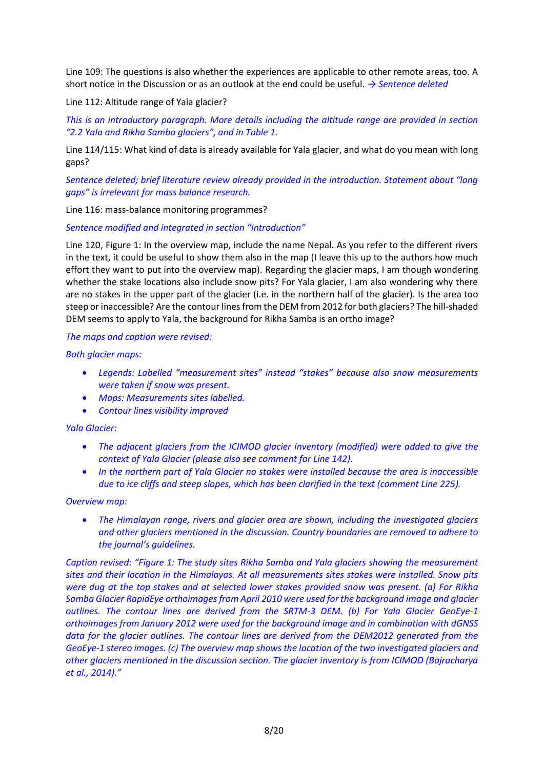Line 109: The questions is also whether the experiences are applicable to other remote areas, too. A short notice in the Discussion or as an outlook at the end could be useful. *→ Sentence deleted*

Line 112: Altitude range of Yala glacier?

*This is an introductory paragraph. More details including the altitude range are provided in section "2.2 Yala and Rikha Samba glaciers", and in Table 1.*

Line 114/115: What kind of data is already available for Yala glacier, and what do you mean with long gaps?

*Sentence deleted; brief literature review already provided in the introduction. Statement about "long gaps" is irrelevant for mass balance research.*

Line 116: mass-balance monitoring programmes?

*Sentence modified and integrated in section "Introduction"*

Line 120, Figure 1: In the overview map, include the name Nepal. As you refer to the different rivers in the text, it could be useful to show them also in the map (I leave this up to the authors how much effort they want to put into the overview map). Regarding the glacier maps, I am though wondering whether the stake locations also include snow pits? For Yala glacier, I am also wondering why there are no stakes in the upper part of the glacier (i.e. in the northern half of the glacier). Is the area too steep or inaccessible? Are the contour lines from the DEM from 2012 for both glaciers? The hill-shaded DEM seems to apply to Yala, the background for Rikha Samba is an ortho image?

#### *The maps and caption were revised:*

*Both glacier maps:* 

- *Legends: Labelled "measurement sites" instead "stakes" because also snow measurements were taken if snow was present.*
- *Maps: Measurements sites labelled.*
- *Contour lines visibility improved*

#### *Yala Glacier:*

- *The adjacent glaciers from the ICIMOD glacier inventory (modified) were added to give the context of Yala Glacier (please also see comment for Line 142).*
- *In the northern part of Yala Glacier no stakes were installed because the area is inaccessible due to ice cliffs and steep slopes, which has been clarified in the text (comment Line 225).*

#### *Overview map:*

• *The Himalayan range, rivers and glacier area are shown, including the investigated glaciers and other glaciers mentioned in the discussion. Country boundaries are removed to adhere to the journal's guidelines.*

*Caption revised: "Figure 1: The study sites Rikha Samba and Yala glaciers showing the measurement sites and their location in the Himalayas. At all measurements sites stakes were installed. Snow pits were dug at the top stakes and at selected lower stakes provided snow was present. (a) For Rikha Samba Glacier RapidEye orthoimages from April 2010 were used for the background image and glacier outlines. The contour lines are derived from the SRTM-3 DEM. (b) For Yala Glacier GeoEye-1 orthoimages from January 2012 were used for the background image and in combination with dGNSS*  data for the glacier outlines. The contour lines are derived from the DEM2012 generated from the *GeoEye-1 stereo images. (c) The overview map shows the location of the two investigated glaciers and other glaciers mentioned in the discussion section. The glacier inventory is from ICIMOD (Bajracharya et al., 2014)."*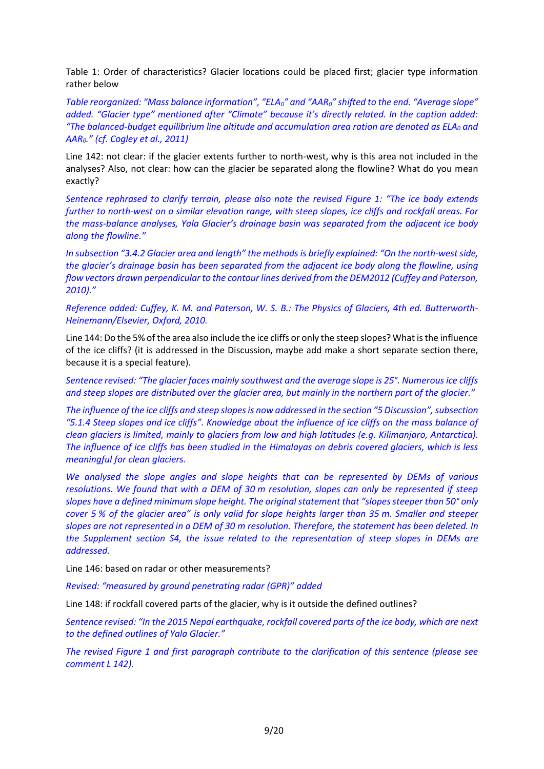Table 1: Order of characteristics? Glacier locations could be placed first; glacier type information rather below

*Table reorganized: "Mass balance information", "ELA0" and "AAR0" shifted to the end. "Average slope" added. "Glacier type" mentioned after "Climate" because it's directly related. In the caption added: "The balanced-budget equilibrium line altitude and accumulation area ration are denoted as ELA<sup>0</sup> and AAR0." (cf. Cogley et al., 2011)* 

Line 142: not clear: if the glacier extents further to north-west, why is this area not included in the analyses? Also, not clear: how can the glacier be separated along the flowline? What do you mean exactly?

*Sentence rephrased to clarify terrain, please also note the revised Figure 1: "The ice body extends further to north-west on a similar elevation range, with steep slopes, ice cliffs and rockfall areas. For the mass-balance analyses, Yala Glacier's drainage basin was separated from the adjacent ice body along the flowline."*

*In subsection "3.4.2 Glacier area and length" the methods is briefly explained: "On the north-west side, the glacier's drainage basin has been separated from the adjacent ice body along the flowline, using flow vectors drawn perpendicular to the contour lines derived from the DEM2012 (Cuffey and Paterson, 2010)."*

*Reference added: Cuffey, K. M. and Paterson, W. S. B.: The Physics of Glaciers, 4th ed. Butterworth-Heinemann/Elsevier, Oxford, 2010.*

Line 144: Do the 5% of the area also include the ice cliffs or only the steep slopes? What is the influence of the ice cliffs? (it is addressed in the Discussion, maybe add make a short separate section there, because it is a special feature).

*Sentence revised: "The glacier faces mainly southwest and the average slope is 25°. Numerous ice cliffs and steep slopes are distributed over the glacier area, but mainly in the northern part of the glacier."*

*The influence of the ice cliffs and steep slopes is now addressed in the section "5 Discussion",subsection "5.1.4 Steep slopes and ice cliffs". Knowledge about the influence of ice cliffs on the mass balance of clean glaciers is limited, mainly to glaciers from low and high latitudes (e.g. Kilimanjaro, Antarctica). The influence of ice cliffs has been studied in the Himalayas on debris covered glaciers, which is less meaningful for clean glaciers.*

*We analysed the slope angles and slope heights that can be represented by DEMs of various resolutions. We found that with a DEM of 30 m resolution, slopes can only be represented if steep slopes have a defined minimum slope height. The original statement that "slopes steeper than 50° only cover 5 % of the glacier area" is only valid for slope heights larger than 35 m. Smaller and steeper slopes are not represented in a DEM of 30 m resolution. Therefore, the statement has been deleted. In the Supplement section S4, the issue related to the representation of steep slopes in DEMs are addressed.*

Line 146: based on radar or other measurements?

*Revised: "measured by ground penetrating radar (GPR)" added* 

Line 148: if rockfall covered parts of the glacier, why is it outside the defined outlines?

*Sentence revised: "In the 2015 Nepal earthquake, rockfall covered parts of the ice body, which are next to the defined outlines of Yala Glacier."*

*The revised Figure 1 and first paragraph contribute to the clarification of this sentence (please see comment L 142).*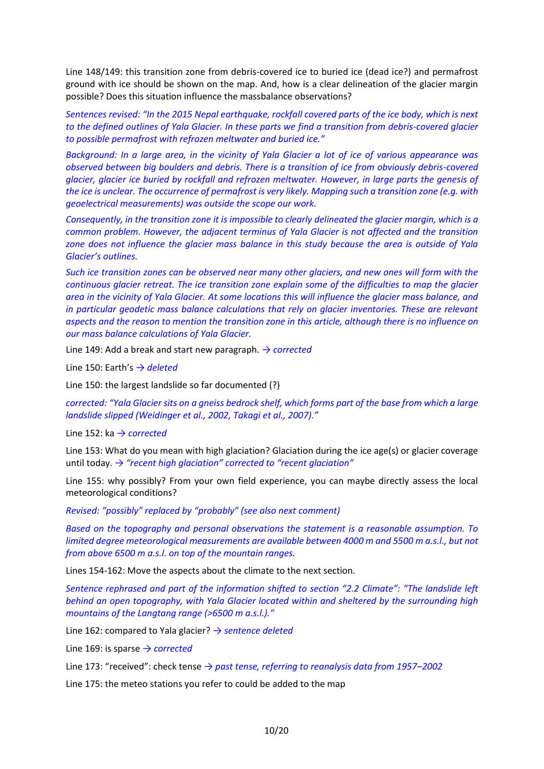Line 148/149: this transition zone from debris-covered ice to buried ice (dead ice?) and permafrost ground with ice should be shown on the map. And, how is a clear delineation of the glacier margin possible? Does this situation influence the massbalance observations?

*Sentences revised: "In the 2015 Nepal earthquake, rockfall covered parts of the ice body, which is next to the defined outlines of Yala Glacier. In these parts we find a transition from debris-covered glacier to possible permafrost with refrozen meltwater and buried ice."*

*Background: In a large area, in the vicinity of Yala Glacier a lot of ice of various appearance was observed between big boulders and debris. There is a transition of ice from obviously debris-covered glacier, glacier ice buried by rockfall and refrozen meltwater. However, in large parts the genesis of the ice is unclear. The occurrence of permafrost is very likely. Mapping such a transition zone (e.g. with geoelectrical measurements) was outside the scope our work.* 

*Consequently, in the transition zone it is impossible to clearly delineated the glacier margin, which is a common problem. However, the adjacent terminus of Yala Glacier is not affected and the transition zone does not influence the glacier mass balance in this study because the area is outside of Yala Glacier's outlines.*

*Such ice transition zones can be observed near many other glaciers, and new ones will form with the continuous glacier retreat. The ice transition zone explain some of the difficulties to map the glacier area in the vicinity of Yala Glacier. At some locations this will influence the glacier mass balance, and in particular geodetic mass balance calculations that rely on glacier inventories. These are relevant aspects and the reason to mention the transition zone in this article, although there is no influence on our mass balance calculations of Yala Glacier.* 

Line 149: Add a break and start new paragraph. *→ corrected*

Line 150: Earth's *→ deleted*

Line 150: the largest landslide so far documented (?)

*corrected: "Yala Glacier sits on a gneiss bedrock shelf, which forms part of the base from which a large landslide slipped (Weidinger et al., 2002, Takagi et al., 2007)."*

Line 152: ka *→ corrected*

Line 153: What do you mean with high glaciation? Glaciation during the ice age(s) or glacier coverage until today. *→ "recent high glaciation" corrected to "recent glaciation"*

Line 155: why possibly? From your own field experience, you can maybe directly assess the local meteorological conditions?

*Revised: "possibly" replaced by "probably" (see also next comment)*

*Based on the topography and personal observations the statement is a reasonable assumption. To*  limited degree meteorological measurements are available between 4000 m and 5500 m a.s.l., but not *from above 6500 m a.s.l. on top of the mountain ranges.*

Lines 154-162: Move the aspects about the climate to the next section.

*Sentence rephrased and part of the information shifted to section "2.2 Climate": "The landslide left behind an open topography, with Yala Glacier located within and sheltered by the surrounding high mountains of the Langtang range (>6500 m a.s.l.)."*

Line 162: compared to Yala glacier? *→ sentence deleted*

Line 169: is sparse *→ corrected*

Line 173: "received": check tense *→ past tense, referring to reanalysis data from 1957–2002*

Line 175: the meteo stations you refer to could be added to the map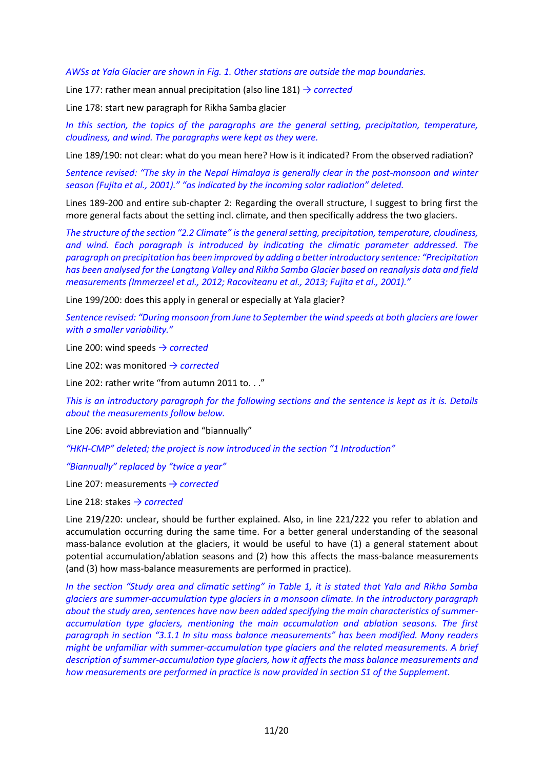*AWSs at Yala Glacier are shown in Fig. 1. Other stations are outside the map boundaries.* 

Line 177: rather mean annual precipitation (also line 181) *→ corrected*

Line 178: start new paragraph for Rikha Samba glacier

In this section, the topics of the paragraphs are the general setting, precipitation, temperature, *cloudiness, and wind. The paragraphs were kept as they were.*

Line 189/190: not clear: what do you mean here? How is it indicated? From the observed radiation?

*Sentence revised: "The sky in the Nepal Himalaya is generally clear in the post-monsoon and winter season (Fujita et al., 2001)." "as indicated by the incoming solar radiation" deleted.*

Lines 189-200 and entire sub-chapter 2: Regarding the overall structure, I suggest to bring first the more general facts about the setting incl. climate, and then specifically address the two glaciers.

*The structure of the section "2.2 Climate" is the general setting, precipitation, temperature, cloudiness, and wind. Each paragraph is introduced by indicating the climatic parameter addressed. The paragraph on precipitation has been improved by adding a better introductory sentence: "Precipitation has been analysed for the Langtang Valley and Rikha Samba Glacier based on reanalysis data and field measurements (Immerzeel et al., 2012; Racoviteanu et al., 2013; Fujita et al., 2001)."*

Line 199/200: does this apply in general or especially at Yala glacier?

*Sentence revised: "During monsoon from June to September the wind speeds at both glaciers are lower with a smaller variability."*

Line 200: wind speeds *→ corrected*

Line 202: was monitored *→ corrected*

Line 202: rather write "from autumn 2011 to. . ."

*This is an introductory paragraph for the following sections and the sentence is kept as it is. Details about the measurements follow below.*

Line 206: avoid abbreviation and "biannually"

*"HKH-CMP" deleted; the project is now introduced in the section "1 Introduction"*

*"Biannually" replaced by "twice a year"*

Line 207: measurements *→ corrected*

Line 218: stakes *→ corrected*

Line 219/220: unclear, should be further explained. Also, in line 221/222 you refer to ablation and accumulation occurring during the same time. For a better general understanding of the seasonal mass-balance evolution at the glaciers, it would be useful to have (1) a general statement about potential accumulation/ablation seasons and (2) how this affects the mass-balance measurements (and (3) how mass-balance measurements are performed in practice).

*In the section "Study area and climatic setting" in Table 1, it is stated that Yala and Rikha Samba glaciers are summer-accumulation type glaciers in a monsoon climate. In the introductory paragraph about the study area, sentences have now been added specifying the main characteristics of summeraccumulation type glaciers, mentioning the main accumulation and ablation seasons. The first paragraph in section "3.1.1 In situ mass balance measurements" has been modified. Many readers might be unfamiliar with summer-accumulation type glaciers and the related measurements. A brief description of summer-accumulation type glaciers, how it affects the mass balance measurements and how measurements are performed in practice is now provided in section S1 of the Supplement.*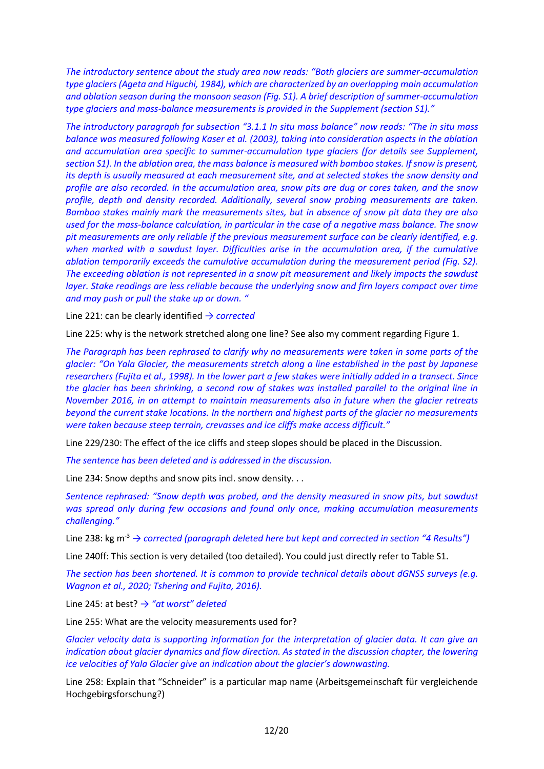*The introductory sentence about the study area now reads: "Both glaciers are summer-accumulation type glaciers (Ageta and Higuchi, 1984), which are characterized by an overlapping main accumulation and ablation season during the monsoon season (Fig. S1). A brief description of summer-accumulation type glaciers and mass-balance measurements is provided in the Supplement (section S1)."*

*The introductory paragraph for subsection "3.1.1 In situ mass balance" now reads: "The in situ mass balance was measured following Kaser et al. (2003), taking into consideration aspects in the ablation and accumulation area specific to summer-accumulation type glaciers (for details see Supplement, section S1). In the ablation area, the mass balance is measured with bamboo stakes. If snow is present, its depth is usually measured at each measurement site, and at selected stakes the snow density and profile are also recorded. In the accumulation area, snow pits are dug or cores taken, and the snow profile, depth and density recorded. Additionally, several snow probing measurements are taken. Bamboo stakes mainly mark the measurements sites, but in absence of snow pit data they are also used for the mass-balance calculation, in particular in the case of a negative mass balance. The snow pit measurements are only reliable if the previous measurement surface can be clearly identified, e.g. when marked with a sawdust layer. Difficulties arise in the accumulation area, if the cumulative ablation temporarily exceeds the cumulative accumulation during the measurement period (Fig. S2). The exceeding ablation is not represented in a snow pit measurement and likely impacts the sawdust layer. Stake readings are less reliable because the underlying snow and firn layers compact over time and may push or pull the stake up or down. "*

Line 221: can be clearly identified *→ corrected*

Line 225: why is the network stretched along one line? See also my comment regarding Figure 1.

*The Paragraph has been rephrased to clarify why no measurements were taken in some parts of the glacier: "On Yala Glacier, the measurements stretch along a line established in the past by Japanese researchers (Fujita et al., 1998). In the lower part a few stakes were initially added in a transect. Since the glacier has been shrinking, a second row of stakes was installed parallel to the original line in November 2016, in an attempt to maintain measurements also in future when the glacier retreats beyond the current stake locations. In the northern and highest parts of the glacier no measurements were taken because steep terrain, crevasses and ice cliffs make access difficult."*

Line 229/230: The effect of the ice cliffs and steep slopes should be placed in the Discussion.

*The sentence has been deleted and is addressed in the discussion.*

Line 234: Snow depths and snow pits incl. snow density. . .

*Sentence rephrased: "Snow depth was probed, and the density measured in snow pits, but sawdust was spread only during few occasions and found only once, making accumulation measurements challenging."*

Line 238: kg m-3 *→ corrected (paragraph deleted here but kept and corrected in section "4 Results")*

Line 240ff: This section is very detailed (too detailed). You could just directly refer to Table S1.

*The section has been shortened. It is common to provide technical details about dGNSS surveys (e.g. Wagnon et al., 2020; Tshering and Fujita, 2016).*

Line 245: at best? *→ "at worst" deleted*

Line 255: What are the velocity measurements used for?

*Glacier velocity data is supporting information for the interpretation of glacier data. It can give an indication about glacier dynamics and flow direction. As stated in the discussion chapter, the lowering ice velocities of Yala Glacier give an indication about the glacier's downwasting.* 

Line 258: Explain that "Schneider" is a particular map name (Arbeitsgemeinschaft für vergleichende Hochgebirgsforschung?)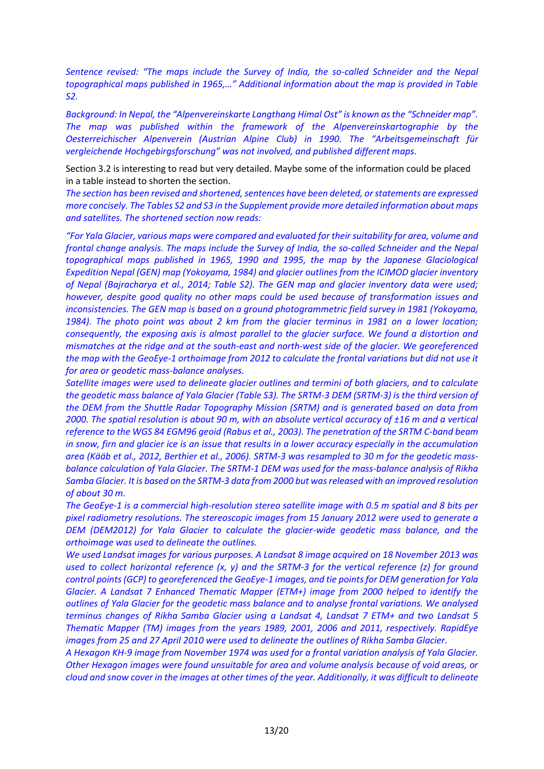*Sentence revised: "The maps include the Survey of India, the so-called Schneider and the Nepal topographical maps published in 1965,…" Additional information about the map is provided in Table S2.*

*Background: In Nepal, the "Alpenvereinskarte Langthang Himal Ost" is known as the "Schneider map". The map was published within the framework of the Alpenvereinskartographie by the Oesterreichischer Alpenverein (Austrian Alpine Club) in 1990. The "Arbeitsgemeinschaft für vergleichende Hochgebirgsforschung" was not involved, and published different maps.*

Section 3.2 is interesting to read but very detailed. Maybe some of the information could be placed in a table instead to shorten the section.

*The section has been revised and shortened, sentences have been deleted, or statements are expressed more concisely. The Tables S2 and S3 in the Supplement provide more detailed information about maps and satellites. The shortened section now reads:* 

*"For Yala Glacier, various maps were compared and evaluated for their suitability for area, volume and frontal change analysis. The maps include the Survey of India, the so-called Schneider and the Nepal topographical maps published in 1965, 1990 and 1995, the map by the Japanese Glaciological Expedition Nepal (GEN) map (Yokoyama, 1984) and glacier outlines from the ICIMOD glacier inventory of Nepal (Bajracharya et al., 2014; Table S2). The GEN map and glacier inventory data were used; however, despite good quality no other maps could be used because of transformation issues and inconsistencies. The GEN map is based on a ground photogrammetric field survey in 1981 (Yokoyama, 1984). The photo point was about 2 km from the glacier terminus in 1981 on a lower location; consequently, the exposing axis is almost parallel to the glacier surface. We found a distortion and mismatches at the ridge and at the south-east and north-west side of the glacier. We georeferenced the map with the GeoEye-1 orthoimage from 2012 to calculate the frontal variations but did not use it for area or geodetic mass-balance analyses.*

*Satellite images were used to delineate glacier outlines and termini of both glaciers, and to calculate the geodetic mass balance of Yala Glacier (Table S3). The SRTM-3 DEM (SRTM-3) is the third version of the DEM from the Shuttle Radar Topography Mission (SRTM) and is generated based on data from 2000. The spatial resolution is about 90 m, with an absolute vertical accuracy of ±16 m and a vertical reference to the WGS 84 EGM96 geoid (Rabus et al., 2003). The penetration of the SRTM C-band beam in snow, firn and glacier ice is an issue that results in a lower accuracy especially in the accumulation area (Kääb et al., 2012, Berthier et al., 2006). SRTM-3 was resampled to 30 m for the geodetic massbalance calculation of Yala Glacier. The SRTM-1 DEM was used for the mass-balance analysis of Rikha Samba Glacier. It is based on the SRTM-3 data from 2000 but was released with an improved resolution of about 30 m.* 

*The GeoEye-1 is a commercial high-resolution stereo satellite image with 0.5 m spatial and 8 bits per pixel radiometry resolutions. The stereoscopic images from 15 January 2012 were used to generate a DEM (DEM2012) for Yala Glacier to calculate the glacier-wide geodetic mass balance, and the orthoimage was used to delineate the outlines.*

*We used Landsat images for various purposes. A Landsat 8 image acquired on 18 November 2013 was used to collect horizontal reference (x, y) and the SRTM-3 for the vertical reference (z) for ground control points (GCP) to georeferenced the GeoEye-1 images, and tie points for DEM generation for Yala Glacier. A Landsat 7 Enhanced Thematic Mapper (ETM+) image from 2000 helped to identify the outlines of Yala Glacier for the geodetic mass balance and to analyse frontal variations. We analysed terminus changes of Rikha Samba Glacier using a Landsat 4, Landsat 7 ETM+ and two Landsat 5 Thematic Mapper (TM) images from the years 1989, 2001, 2006 and 2011, respectively. RapidEye images from 25 and 27 April 2010 were used to delineate the outlines of Rikha Samba Glacier.*

*A Hexagon KH-9 image from November 1974 was used for a frontal variation analysis of Yala Glacier. Other Hexagon images were found unsuitable for area and volume analysis because of void areas, or cloud and snow cover in the images at other times of the year. Additionally, it was difficult to delineate*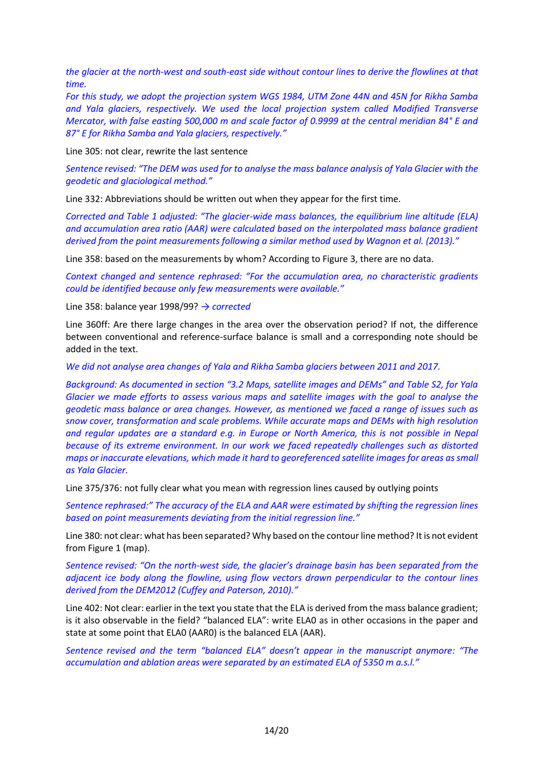*the glacier at the north-west and south-east side without contour lines to derive the flowlines at that time.*

*For this study, we adopt the projection system WGS 1984, UTM Zone 44N and 45N for Rikha Samba and Yala glaciers, respectively. We used the local projection system called Modified Transverse Mercator, with false easting 500,000 m and scale factor of 0.9999 at the central meridian 84° E and 87° E for Rikha Samba and Yala glaciers, respectively."*

Line 305: not clear, rewrite the last sentence

*Sentence revised: "The DEM was used for to analyse the mass balance analysis of Yala Glacier with the geodetic and glaciological method."*

Line 332: Abbreviations should be written out when they appear for the first time.

*Corrected and Table 1 adjusted: "The glacier-wide mass balances, the equilibrium line altitude (ELA) and accumulation area ratio (AAR) were calculated based on the interpolated mass balance gradient derived from the point measurements following a similar method used by Wagnon et al. (2013)."* 

Line 358: based on the measurements by whom? According to Figure 3, there are no data.

*Context changed and sentence rephrased: "For the accumulation area, no characteristic gradients could be identified because only few measurements were available."*

Line 358: balance year 1998/99? *→ corrected* 

Line 360ff: Are there large changes in the area over the observation period? If not, the difference between conventional and reference-surface balance is small and a corresponding note should be added in the text.

*We did not analyse area changes of Yala and Rikha Samba glaciers between 2011 and 2017.* 

*Background: As documented in section "3.2 Maps, satellite images and DEMs" and Table S2, for Yala Glacier we made efforts to assess various maps and satellite images with the goal to analyse the geodetic mass balance or area changes. However, as mentioned we faced a range of issues such as snow cover, transformation and scale problems. While accurate maps and DEMs with high resolution and regular updates are a standard e.g. in Europe or North America, this is not possible in Nepal because of its extreme environment. In our work we faced repeatedly challenges such as distorted maps or inaccurate elevations, which made it hard to georeferenced satellite images for areas as small as Yala Glacier.*

Line 375/376: not fully clear what you mean with regression lines caused by outlying points

*Sentence rephrased:" The accuracy of the ELA and AAR were estimated by shifting the regression lines based on point measurements deviating from the initial regression line."*

Line 380: not clear: what has been separated? Why based on the contour line method? It is not evident from Figure 1 (map).

*Sentence revised: "On the north-west side, the glacier's drainage basin has been separated from the adjacent ice body along the flowline, using flow vectors drawn perpendicular to the contour lines derived from the DEM2012 (Cuffey and Paterson, 2010)."* 

Line 402: Not clear: earlier in the text you state that the ELA is derived from the mass balance gradient; is it also observable in the field? "balanced ELA": write ELA0 as in other occasions in the paper and state at some point that ELA0 (AAR0) is the balanced ELA (AAR).

*Sentence revised and the term "balanced ELA" doesn't appear in the manuscript anymore: "The accumulation and ablation areas were separated by an estimated ELA of 5350 m a.s.l."*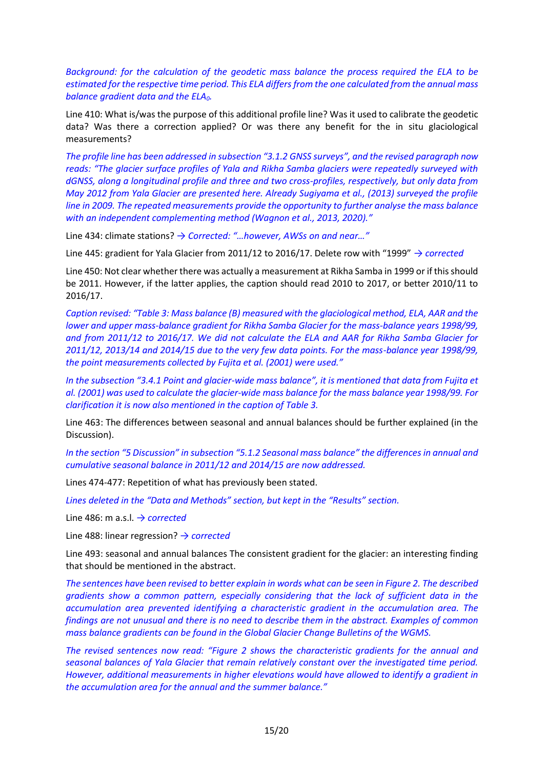*Background: for the calculation of the geodetic mass balance the process required the ELA to be estimated for the respective time period. This ELA differs from the one calculated from the annual mass balance gradient data and the ELA0.*

Line 410: What is/was the purpose of this additional profile line? Was it used to calibrate the geodetic data? Was there a correction applied? Or was there any benefit for the in situ glaciological measurements?

*The profile line has been addressed in subsection "3.1.2 GNSS surveys", and the revised paragraph now reads: "The glacier surface profiles of Yala and Rikha Samba glaciers were repeatedly surveyed with dGNSS, along a longitudinal profile and three and two cross-profiles, respectively, but only data from May 2012 from Yala Glacier are presented here. Already Sugiyama et al., (2013) surveyed the profile line in 2009. The repeated measurements provide the opportunity to further analyse the mass balance with an independent complementing method (Wagnon et al., 2013, 2020)."*

Line 434: climate stations? *→ Corrected: "…however, AWSs on and near…"*

Line 445: gradient for Yala Glacier from 2011/12 to 2016/17. Delete row with "1999" *→ corrected*

Line 450: Not clear whether there was actually a measurement at Rikha Samba in 1999 or if this should be 2011. However, if the latter applies, the caption should read 2010 to 2017, or better 2010/11 to 2016/17.

*Caption revised: "Table 3: Mass balance (B) measured with the glaciological method, ELA, AAR and the lower and upper mass-balance gradient for Rikha Samba Glacier for the mass-balance years 1998/99, and from 2011/12 to 2016/17. We did not calculate the ELA and AAR for Rikha Samba Glacier for 2011/12, 2013/14 and 2014/15 due to the very few data points. For the mass-balance year 1998/99, the point measurements collected by Fujita et al. (2001) were used."*

*In the subsection "3.4.1 Point and glacier-wide mass balance", it is mentioned that data from Fujita et al. (2001) was used to calculate the glacier-wide mass balance for the mass balance year 1998/99. For clarification it is now also mentioned in the caption of Table 3.*

Line 463: The differences between seasonal and annual balances should be further explained (in the Discussion).

*In the section "5 Discussion" in subsection "5.1.2 Seasonal mass balance" the differences in annual and cumulative seasonal balance in 2011/12 and 2014/15 are now addressed.*

Lines 474-477: Repetition of what has previously been stated.

*Lines deleted in the "Data and Methods" section, but kept in the "Results" section.* 

Line 486: m a.s.l. *→ corrected*

Line 488: linear regression? *→ corrected* 

Line 493: seasonal and annual balances The consistent gradient for the glacier: an interesting finding that should be mentioned in the abstract.

*The sentences have been revised to better explain in words what can be seen in Figure 2. The described gradients show a common pattern, especially considering that the lack of sufficient data in the accumulation area prevented identifying a characteristic gradient in the accumulation area. The findings are not unusual and there is no need to describe them in the abstract. Examples of common mass balance gradients can be found in the Global Glacier Change Bulletins of the WGMS.*

*The revised sentences now read: "Figure 2 shows the characteristic gradients for the annual and seasonal balances of Yala Glacier that remain relatively constant over the investigated time period. However, additional measurements in higher elevations would have allowed to identify a gradient in the accumulation area for the annual and the summer balance."*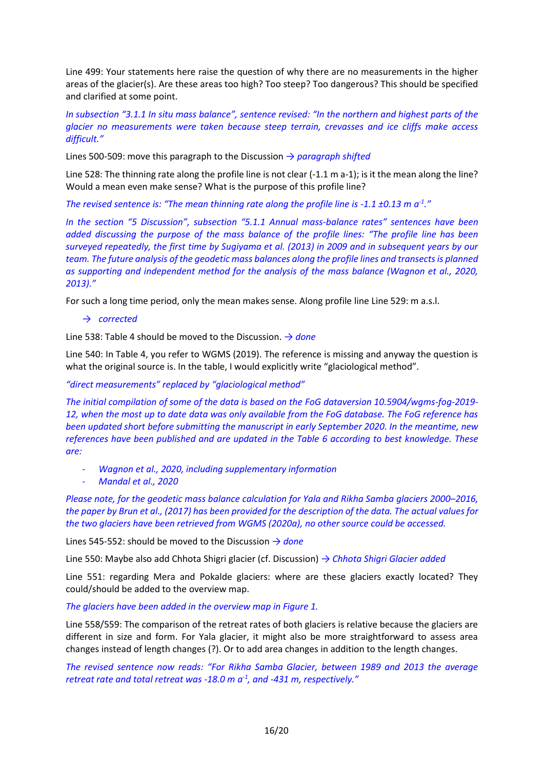Line 499: Your statements here raise the question of why there are no measurements in the higher areas of the glacier(s). Are these areas too high? Too steep? Too dangerous? This should be specified and clarified at some point.

*In subsection "3.1.1 In situ mass balance", sentence revised: "In the northern and highest parts of the glacier no measurements were taken because steep terrain, crevasses and ice cliffs make access difficult."*

Lines 500-509: move this paragraph to the Discussion *→ paragraph shifted*

Line 528: The thinning rate along the profile line is not clear (-1.1 m a-1); is it the mean along the line? Would a mean even make sense? What is the purpose of this profile line?

*The revised sentence is: "The mean thinning rate along the profile line is -1.1 ±0.13 m a-1 ."*

*In the section "5 Discussion", subsection "5.1.1 Annual mass-balance rates" sentences have been added discussing the purpose of the mass balance of the profile lines: "The profile line has been surveyed repeatedly, the first time by Sugiyama et al. (2013) in 2009 and in subsequent years by our team. The future analysis of the geodetic mass balances along the profile lines and transects is planned as supporting and independent method for the analysis of the mass balance (Wagnon et al., 2020, 2013)."*

For such a long time period, only the mean makes sense. Along profile line Line 529: m a.s.l.

#### → *corrected*

Line 538: Table 4 should be moved to the Discussion. *→ done*

Line 540: In Table 4, you refer to WGMS (2019). The reference is missing and anyway the question is what the original source is. In the table, I would explicitly write "glaciological method".

#### *"direct measurements" replaced by "glaciological method"*

*The initial compilation of some of the data is based on the FoG dataversion 10.5904/wgms-fog-2019- 12, when the most up to date data was only available from the FoG database. The FoG reference has been updated short before submitting the manuscript in early September 2020. In the meantime, new references have been published and are updated in the Table 6 according to best knowledge. These are:*

- *Wagnon et al., 2020, including supplementary information*
- *Mandal et al., 2020*

*Please note, for the geodetic mass balance calculation for Yala and Rikha Samba glaciers 2000–2016, the paper by Brun et al., (2017) has been provided for the description of the data. The actual values for the two glaciers have been retrieved from WGMS (2020a), no other source could be accessed.*

Lines 545-552: should be moved to the Discussion *→ done*

Line 550: Maybe also add Chhota Shigri glacier (cf. Discussion) *→ Chhota Shigri Glacier added*

Line 551: regarding Mera and Pokalde glaciers: where are these glaciers exactly located? They could/should be added to the overview map.

#### *The glaciers have been added in the overview map in Figure 1.*

Line 558/559: The comparison of the retreat rates of both glaciers is relative because the glaciers are different in size and form. For Yala glacier, it might also be more straightforward to assess area changes instead of length changes (?). Or to add area changes in addition to the length changes.

*The revised sentence now reads: "For Rikha Samba Glacier, between 1989 and 2013 the average retreat rate and total retreat was -18.0 m a-1 , and -431 m, respectively."*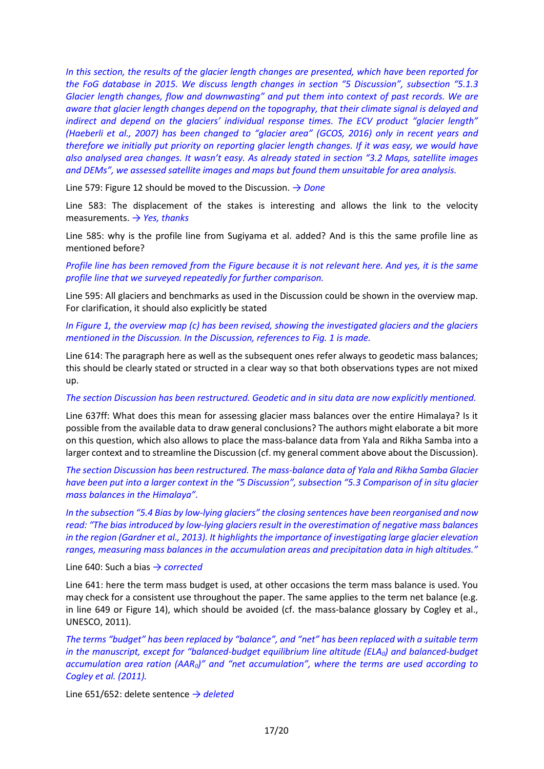*In this section, the results of the glacier length changes are presented, which have been reported for the FoG database in 2015. We discuss length changes in section "5 Discussion", subsection "5.1.3 Glacier length changes, flow and downwasting" and put them into context of past records. We are aware that glacier length changes depend on the topography, that their climate signal is delayed and indirect and depend on the glaciers' individual response times. The ECV product "glacier length" (Haeberli et al., 2007) has been changed to "glacier area" (GCOS, 2016) only in recent years and therefore we initially put priority on reporting glacier length changes. If it was easy, we would have also analysed area changes. It wasn't easy. As already stated in section "3.2 Maps, satellite images and DEMs", we assessed satellite images and maps but found them unsuitable for area analysis.* 

Line 579: Figure 12 should be moved to the Discussion. *→ Done*

Line 583: The displacement of the stakes is interesting and allows the link to the velocity measurements. *→ Yes, thanks*

Line 585: why is the profile line from Sugiyama et al. added? And is this the same profile line as mentioned before?

*Profile line has been removed from the Figure because it is not relevant here. And yes, it is the same profile line that we surveyed repeatedly for further comparison.* 

Line 595: All glaciers and benchmarks as used in the Discussion could be shown in the overview map. For clarification, it should also explicitly be stated

*In Figure 1, the overview map (c) has been revised, showing the investigated glaciers and the glaciers mentioned in the Discussion. In the Discussion, references to Fig. 1 is made.* 

Line 614: The paragraph here as well as the subsequent ones refer always to geodetic mass balances; this should be clearly stated or structed in a clear way so that both observations types are not mixed up.

#### *The section Discussion has been restructured. Geodetic and in situ data are now explicitly mentioned.*

Line 637ff: What does this mean for assessing glacier mass balances over the entire Himalaya? Is it possible from the available data to draw general conclusions? The authors might elaborate a bit more on this question, which also allows to place the mass-balance data from Yala and Rikha Samba into a larger context and to streamline the Discussion (cf. my general comment above about the Discussion).

*The section Discussion has been restructured. The mass-balance data of Yala and Rikha Samba Glacier have been put into a larger context in the "5 Discussion", subsection "5.3 Comparison of in situ glacier mass balances in the Himalaya".*

*In the subsection "5.4 Bias by low-lying glaciers" the closing sentences have been reorganised and now read: "The bias introduced by low-lying glaciers result in the overestimation of negative mass balances in the region (Gardner et al., 2013). It highlights the importance of investigating large glacier elevation ranges, measuring mass balances in the accumulation areas and precipitation data in high altitudes."*

Line 640: Such a bias *→ corrected* 

Line 641: here the term mass budget is used, at other occasions the term mass balance is used. You may check for a consistent use throughout the paper. The same applies to the term net balance (e.g. in line 649 or Figure 14), which should be avoided (cf. the mass-balance glossary by Cogley et al., UNESCO, 2011).

*The terms "budget" has been replaced by "balance", and "net" has been replaced with a suitable term in the manuscript, except for "balanced-budget equilibrium line altitude (ELA0) and balanced-budget accumulation area ration (AAR0)" and "net accumulation", where the terms are used according to Cogley et al. (2011).* 

Line 651/652: delete sentence *→ deleted*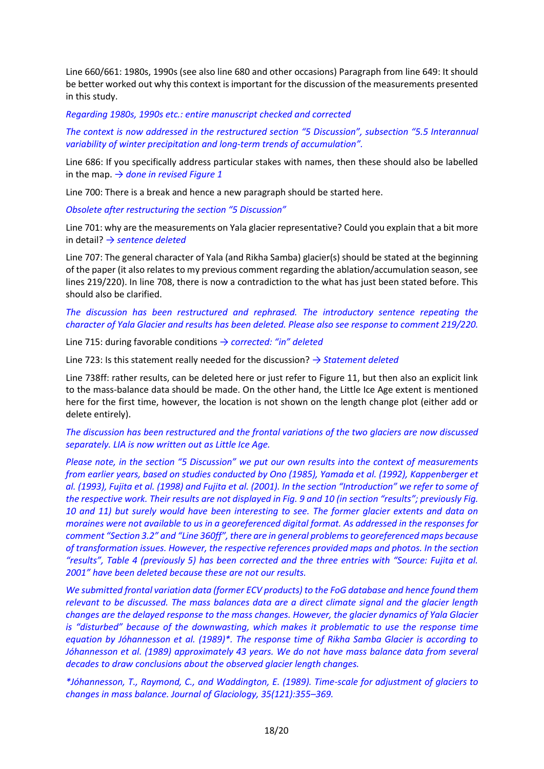Line 660/661: 1980s, 1990s (see also line 680 and other occasions) Paragraph from line 649: It should be better worked out why this context is important for the discussion of the measurements presented in this study.

#### *Regarding 1980s, 1990s etc.: entire manuscript checked and corrected*

*The context is now addressed in the restructured section "5 Discussion", subsection "5.5 Interannual variability of winter precipitation and long-term trends of accumulation".*

Line 686: If you specifically address particular stakes with names, then these should also be labelled in the map. *→ done in revised Figure 1*

Line 700: There is a break and hence a new paragraph should be started here.

*Obsolete after restructuring the section "5 Discussion"*

Line 701: why are the measurements on Yala glacier representative? Could you explain that a bit more in detail? *→ sentence deleted* 

Line 707: The general character of Yala (and Rikha Samba) glacier(s) should be stated at the beginning of the paper (it also relates to my previous comment regarding the ablation/accumulation season, see lines 219/220). In line 708, there is now a contradiction to the what has just been stated before. This should also be clarified.

#### *The discussion has been restructured and rephrased. The introductory sentence repeating the character of Yala Glacier and results has been deleted. Please also see response to comment 219/220.*

Line 715: during favorable conditions *→ corrected: "in" deleted*

Line 723: Is this statement really needed for the discussion? *→ Statement deleted*

Line 738ff: rather results, can be deleted here or just refer to Figure 11, but then also an explicit link to the mass-balance data should be made. On the other hand, the Little Ice Age extent is mentioned here for the first time, however, the location is not shown on the length change plot (either add or delete entirely).

*The discussion has been restructured and the frontal variations of the two glaciers are now discussed separately. LIA is now written out as Little Ice Age.*

*Please note, in the section "5 Discussion" we put our own results into the context of measurements from earlier years, based on studies conducted by Ono (1985), Yamada et al. (1992), Kappenberger et al. (1993), Fujita et al. (1998) and Fujita et al. (2001). In the section "Introduction" we refer to some of the respective work. Their results are not displayed in Fig. 9 and 10 (in section "results"; previously Fig. 10 and 11) but surely would have been interesting to see. The former glacier extents and data on moraines were not available to us in a georeferenced digital format. As addressed in the responses for comment "Section 3.2" and "Line 360ff", there are in general problems to georeferenced maps because of transformation issues. However, the respective references provided maps and photos. In the section "results", Table 4 (previously 5) has been corrected and the three entries with "Source: Fujita et al. 2001" have been deleted because these are not our results.* 

*We submitted frontal variation data (former ECV products) to the FoG database and hence found them relevant to be discussed. The mass balances data are a direct climate signal and the glacier length changes are the delayed response to the mass changes. However, the glacier dynamics of Yala Glacier is "disturbed" because of the downwasting, which makes it problematic to use the response time equation by Jóhannesson et al. (1989)\*. The response time of Rikha Samba Glacier is according to Jóhannesson et al. (1989) approximately 43 years. We do not have mass balance data from several decades to draw conclusions about the observed glacier length changes.*

*\*Jóhannesson, T., Raymond, C., and Waddington, E. (1989). Time-scale for adjustment of glaciers to changes in mass balance. Journal of Glaciology, 35(121):355–369.*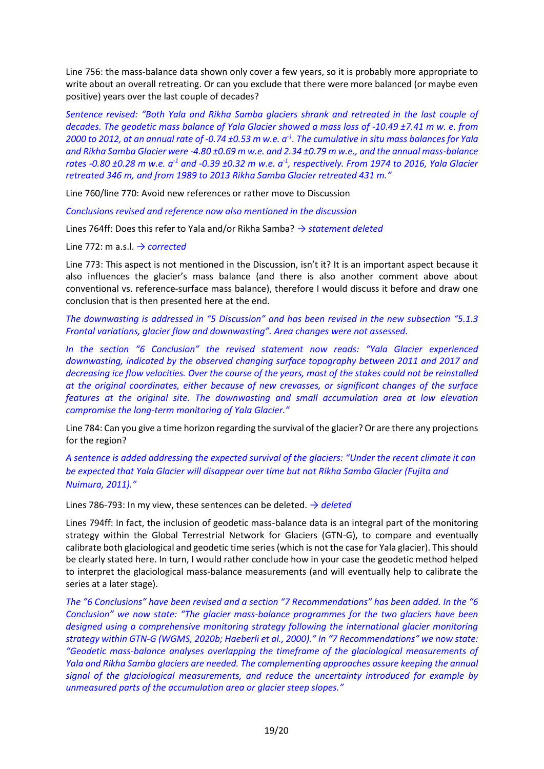Line 756: the mass-balance data shown only cover a few years, so it is probably more appropriate to write about an overall retreating. Or can you exclude that there were more balanced (or maybe even positive) years over the last couple of decades?

*Sentence revised: "Both Yala and Rikha Samba glaciers shrank and retreated in the last couple of decades. The geodetic mass balance of Yala Glacier showed a mass loss of -10.49 ±7.41 m w. e. from 2000 to 2012, at an annual rate of -0.74 ±0.53 m w.e. a-1 . The cumulative in situ mass balances for Yala and Rikha Samba Glacier were -4.80 ±0.69 m w.e. and 2.34 ±0.79 m w.e., and the annual mass-balance rates -0.80 ±0.28 m w.e. a-1 and -0.39 ±0.32 m w.e. a-1 , respectively. From 1974 to 2016, Yala Glacier retreated 346 m, and from 1989 to 2013 Rikha Samba Glacier retreated 431 m."*

Line 760/line 770: Avoid new references or rather move to Discussion

*Conclusions revised and reference now also mentioned in the discussion*

Lines 764ff: Does this refer to Yala and/or Rikha Samba? *→ statement deleted*

Line 772: m a.s.l. *→ corrected*

Line 773: This aspect is not mentioned in the Discussion, isn't it? It is an important aspect because it also influences the glacier's mass balance (and there is also another comment above about conventional vs. reference-surface mass balance), therefore I would discuss it before and draw one conclusion that is then presented here at the end.

*The downwasting is addressed in "5 Discussion" and has been revised in the new subsection "5.1.3 Frontal variations, glacier flow and downwasting". Area changes were not assessed.* 

*In the section "6 Conclusion" the revised statement now reads: "Yala Glacier experienced*  downwasting, indicated by the observed changing surface topography between 2011 and 2017 and *decreasing ice flow velocities. Over the course of the years, most of the stakes could not be reinstalled at the original coordinates, either because of new crevasses, or significant changes of the surface features at the original site. The downwasting and small accumulation area at low elevation compromise the long-term monitoring of Yala Glacier."*

Line 784: Can you give a time horizon regarding the survival of the glacier? Or are there any projections for the region?

*A sentence is added addressing the expected survival of the glaciers: "Under the recent climate it can be expected that Yala Glacier will disappear over time but not Rikha Samba Glacier (Fujita and Nuimura, 2011)."*

Lines 786-793: In my view, these sentences can be deleted. *→ deleted*

Lines 794ff: In fact, the inclusion of geodetic mass-balance data is an integral part of the monitoring strategy within the Global Terrestrial Network for Glaciers (GTN-G), to compare and eventually calibrate both glaciological and geodetic time series (which is not the case for Yala glacier). This should be clearly stated here. In turn, I would rather conclude how in your case the geodetic method helped to interpret the glaciological mass-balance measurements (and will eventually help to calibrate the series at a later stage).

*The "6 Conclusions" have been revised and a section "7 Recommendations" has been added. In the "6 Conclusion" we now state: "The glacier mass-balance programmes for the two glaciers have been designed using a comprehensive monitoring strategy following the international glacier monitoring strategy within GTN-G (WGMS, 2020b; Haeberli et al., 2000)." In "7 Recommendations" we now state: "Geodetic mass-balance analyses overlapping the timeframe of the glaciological measurements of Yala and Rikha Samba glaciers are needed. The complementing approaches assure keeping the annual signal of the glaciological measurements, and reduce the uncertainty introduced for example by unmeasured parts of the accumulation area or glacier steep slopes."*